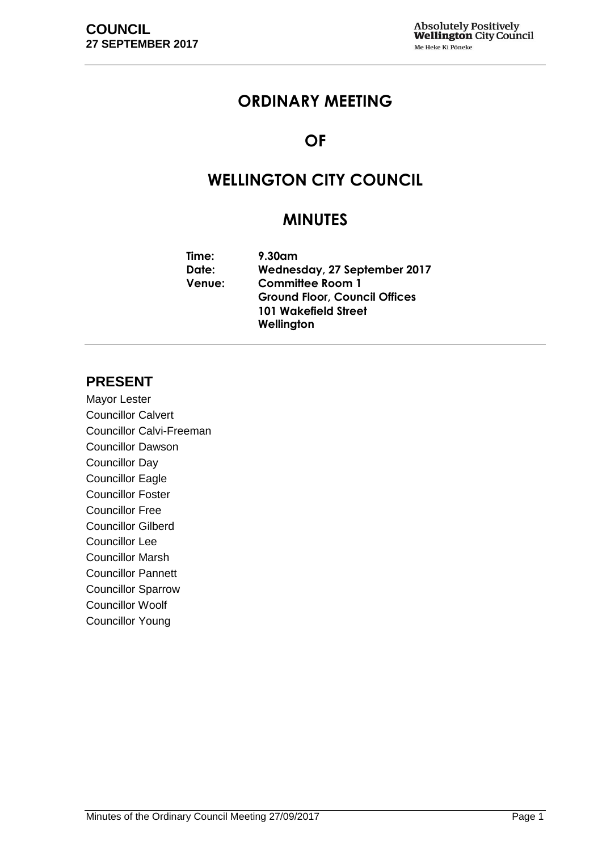## **ORDINARY MEETING**

## **OF**

# **WELLINGTON CITY COUNCIL**

## **MINUTES**

| Time:         | $9.30$ am                            |  |
|---------------|--------------------------------------|--|
| Date:         | Wednesday, 27 September 2017         |  |
| <b>Venue:</b> | <b>Committee Room 1</b>              |  |
|               | <b>Ground Floor, Council Offices</b> |  |
|               | 101 Wakefield Street                 |  |
|               | Wellington                           |  |

## **PRESENT**

Mayor Lester Councillor Calvert Councillor Calvi-Freeman Councillor Dawson Councillor Day Councillor Eagle Councillor Foster Councillor Free Councillor Gilberd Councillor Lee Councillor Marsh Councillor Pannett Councillor Sparrow Councillor Woolf Councillor Young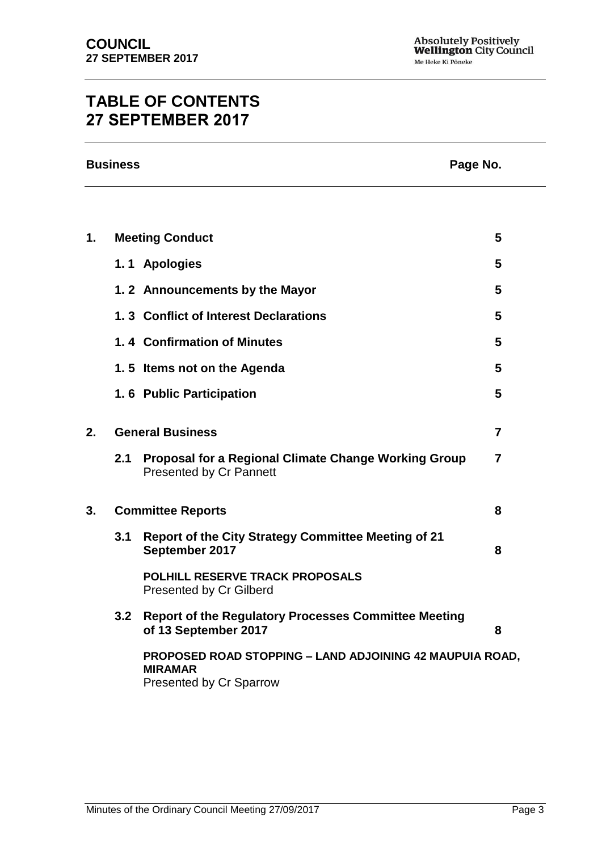# **TABLE OF CONTENTS 27 SEPTEMBER 2017**

|                | <b>Business</b>                                                                            |                                                                                               | Page No. |  |
|----------------|--------------------------------------------------------------------------------------------|-----------------------------------------------------------------------------------------------|----------|--|
|                |                                                                                            |                                                                                               |          |  |
| $\mathbf{1}$ . |                                                                                            | <b>Meeting Conduct</b>                                                                        | 5        |  |
|                |                                                                                            | 1.1 Apologies                                                                                 | 5        |  |
|                |                                                                                            | 1.2 Announcements by the Mayor                                                                | 5        |  |
|                |                                                                                            | 1.3 Conflict of Interest Declarations                                                         | 5        |  |
|                | 1.4 Confirmation of Minutes                                                                |                                                                                               |          |  |
|                | 1.5 Items not on the Agenda                                                                |                                                                                               | 5        |  |
|                |                                                                                            | 1.6 Public Participation                                                                      | 5        |  |
| 2.             | <b>General Business</b>                                                                    |                                                                                               | 7        |  |
|                | 2.1                                                                                        | <b>Proposal for a Regional Climate Change Working Group</b><br><b>Presented by Cr Pannett</b> | 7        |  |
| 3.             | <b>Committee Reports</b>                                                                   |                                                                                               | 8        |  |
|                | 3.1                                                                                        | <b>Report of the City Strategy Committee Meeting of 21</b><br>September 2017                  | 8        |  |
|                | <b>POLHILL RESERVE TRACK PROPOSALS</b><br>Presented by Cr Gilberd                          |                                                                                               |          |  |
|                | 3.2<br><b>Report of the Regulatory Processes Committee Meeting</b><br>of 13 September 2017 |                                                                                               | 8        |  |

**PROPOSED ROAD STOPPING – LAND ADJOINING 42 MAUPUIA ROAD, MIRAMAR**  Presented by Cr Sparrow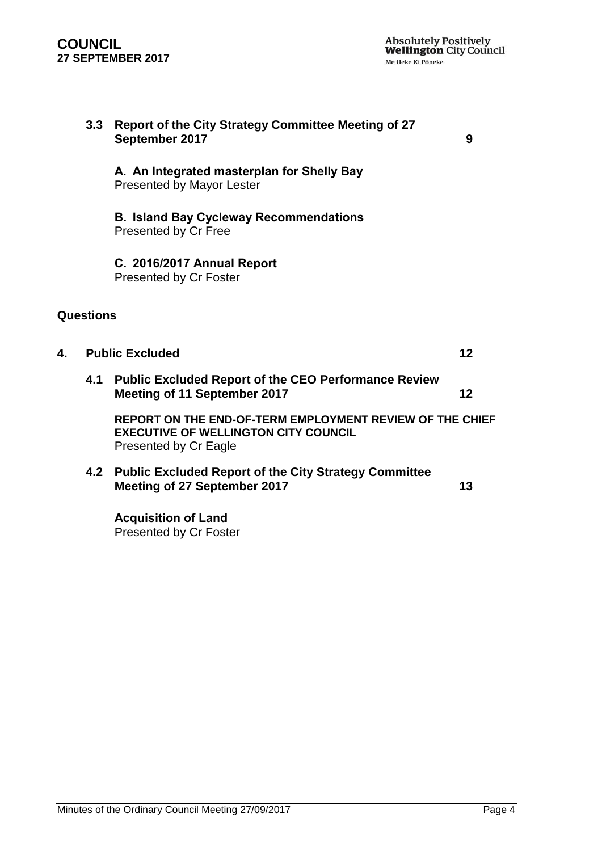|    | Report of the City Strategy Committee Meeting of 27<br>3.3<br>September 2017 |                                                                                                                                  | 9  |
|----|------------------------------------------------------------------------------|----------------------------------------------------------------------------------------------------------------------------------|----|
|    |                                                                              | A. An Integrated masterplan for Shelly Bay<br><b>Presented by Mayor Lester</b>                                                   |    |
|    |                                                                              | <b>B. Island Bay Cycleway Recommendations</b><br>Presented by Cr Free                                                            |    |
|    |                                                                              | C. 2016/2017 Annual Report<br>Presented by Cr Foster                                                                             |    |
|    | Questions                                                                    |                                                                                                                                  |    |
| 4. |                                                                              | <b>Public Excluded</b>                                                                                                           | 12 |
|    | 4.1                                                                          | <b>Public Excluded Report of the CEO Performance Review</b><br>Meeting of 11 September 2017                                      | 12 |
|    |                                                                              | REPORT ON THE END-OF-TERM EMPLOYMENT REVIEW OF THE CHIEF<br><b>EXECUTIVE OF WELLINGTON CITY COUNCIL</b><br>Presented by Cr Eagle |    |
|    |                                                                              | 4.2 Public Excluded Report of the City Strategy Committee<br>Meeting of 27 September 2017                                        | 13 |
|    |                                                                              | <b>Acquisition of Land</b><br>Presented by Cr Foster                                                                             |    |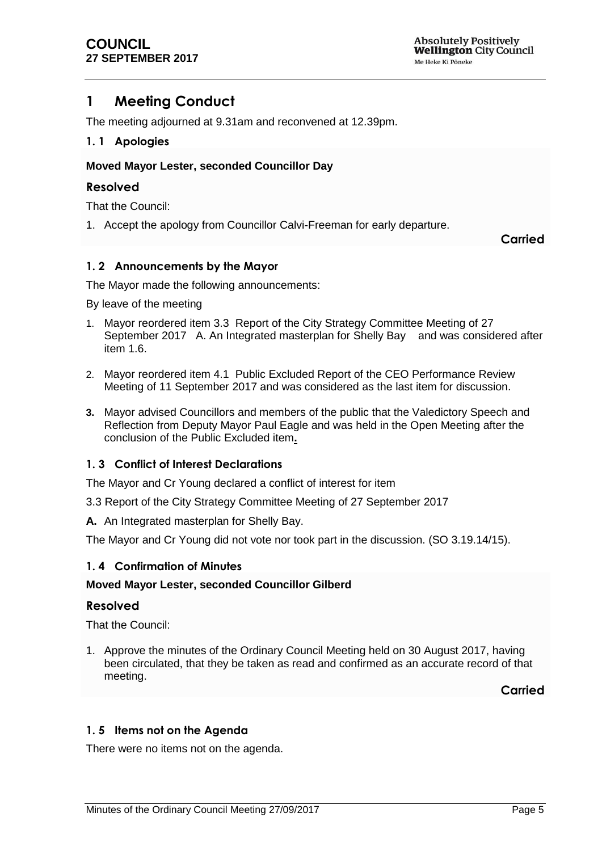## <span id="page-4-0"></span>**1 Meeting Conduct**

The meeting adjourned at 9.31am and reconvened at 12.39pm.

#### <span id="page-4-1"></span>**1. 1 Apologies**

#### **Moved Mayor Lester, seconded Councillor Day**

#### **Resolved**

That the Council:

1. Accept the apology from Councillor Calvi-Freeman for early departure.

**Carried**

#### <span id="page-4-2"></span>**1. 2 Announcements by the Mayor**

The Mayor made the following announcements:

By leave of the meeting

- 1. Mayor reordered item 3.3 Report of the City Strategy Committee Meeting of 27 September 2017 A. An Integrated masterplan for Shelly Bay and was considered after item 1.6.
- 2. Mayor reordered item 4.1 Public Excluded Report of the CEO Performance Review Meeting of 11 September 2017 and was considered as the last item for discussion.
- **3.** Mayor advised Councillors and members of the public that the Valedictory Speech and Reflection from Deputy Mayor Paul Eagle and was held in the Open Meeting after the conclusion of the Public Excluded item**.**

## <span id="page-4-3"></span>**1. 3 Conflict of Interest Declarations**

The Mayor and Cr Young declared a conflict of interest for item

- 3.3 Report of the City Strategy Committee Meeting of 27 September 2017
- **A.** An Integrated masterplan for Shelly Bay.

The Mayor and Cr Young did not vote nor took part in the discussion. (SO 3.19.14/15).

## <span id="page-4-4"></span>**1. 4 Confirmation of Minutes**

#### **Moved Mayor Lester, seconded Councillor Gilberd**

#### **Resolved**

That the Council:

1. Approve the minutes of the Ordinary Council Meeting held on 30 August 2017, having been circulated, that they be taken as read and confirmed as an accurate record of that meeting.

**Carried**

## <span id="page-4-5"></span>**1. 5 Items not on the Agenda**

There were no items not on the agenda.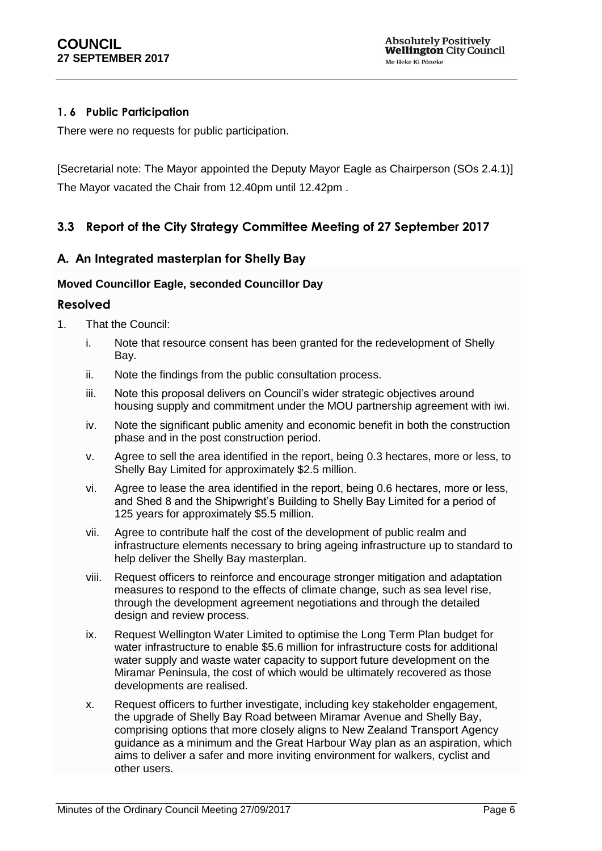## **1. 6 Public Participation**

There were no requests for public participation.

[Secretarial note: The Mayor appointed the Deputy Mayor Eagle as Chairperson (SOs 2.4.1)] The Mayor vacated the Chair from 12.40pm until 12.42pm .

## **3.3 Report of the City Strategy Committee Meeting of 27 September 2017**

## **A. An Integrated masterplan for Shelly Bay**

#### **Moved Councillor Eagle, seconded Councillor Day**

#### **Resolved**

- 1. That the Council:
	- i. Note that resource consent has been granted for the redevelopment of Shelly Bay.
	- ii. Note the findings from the public consultation process.
	- iii. Note this proposal delivers on Council's wider strategic objectives around housing supply and commitment under the MOU partnership agreement with iwi.
	- iv. Note the significant public amenity and economic benefit in both the construction phase and in the post construction period.
	- v. Agree to sell the area identified in the report, being 0.3 hectares, more or less, to Shelly Bay Limited for approximately \$2.5 million.
	- vi. Agree to lease the area identified in the report, being 0.6 hectares, more or less, and Shed 8 and the Shipwright's Building to Shelly Bay Limited for a period of 125 years for approximately \$5.5 million.
	- vii. Agree to contribute half the cost of the development of public realm and infrastructure elements necessary to bring ageing infrastructure up to standard to help deliver the Shelly Bay masterplan.
	- viii. Request officers to reinforce and encourage stronger mitigation and adaptation measures to respond to the effects of climate change, such as sea level rise, through the development agreement negotiations and through the detailed design and review process.
	- ix. Request Wellington Water Limited to optimise the Long Term Plan budget for water infrastructure to enable \$5.6 million for infrastructure costs for additional water supply and waste water capacity to support future development on the Miramar Peninsula, the cost of which would be ultimately recovered as those developments are realised.
	- x. Request officers to further investigate, including key stakeholder engagement, the upgrade of Shelly Bay Road between Miramar Avenue and Shelly Bay, comprising options that more closely aligns to New Zealand Transport Agency guidance as a minimum and the Great Harbour Way plan as an aspiration, which aims to deliver a safer and more inviting environment for walkers, cyclist and other users.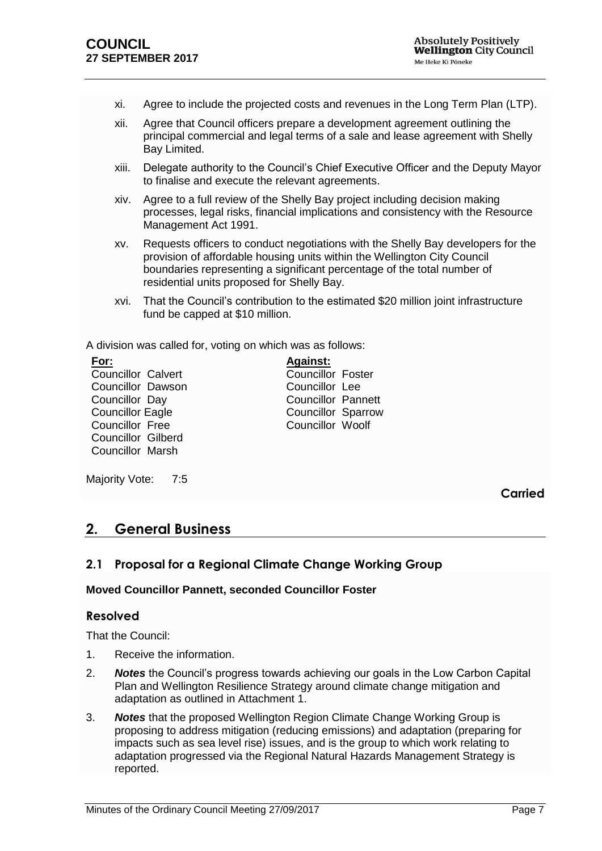- xi. Agree to include the projected costs and revenues in the Long Term Plan (LTP).
- xii. Agree that Council officers prepare a development agreement outlining the principal commercial and legal terms of a sale and lease agreement with Shelly Bay Limited.
- xiii. Delegate authority to the Council's Chief Executive Officer and the Deputy Mayor to finalise and execute the relevant agreements.
- xiv. Agree to a full review of the Shelly Bay project including decision making processes, legal risks, financial implications and consistency with the Resource Management Act 1991.
- xv. Requests officers to conduct negotiations with the Shelly Bay developers for the provision of affordable housing units within the Wellington City Council boundaries representing a significant percentage of the total number of residential units proposed for Shelly Bay.
- xvi. That the Council's contribution to the estimated \$20 million joint infrastructure fund be capped at \$10 million.

A division was called for, voting on which was as follows:

| For:                      | <b>Against:</b>           |  |
|---------------------------|---------------------------|--|
| <b>Councillor Calvert</b> | <b>Councillor Foster</b>  |  |
| Councillor Dawson         | Councillor Lee            |  |
| Councillor Day            | <b>Councillor Pannett</b> |  |
| <b>Councillor Eagle</b>   | <b>Councillor Sparrow</b> |  |
| <b>Councillor Free</b>    | Councillor Woolf          |  |
| <b>Councillor Gilberd</b> |                           |  |
| <b>Councillor Marsh</b>   |                           |  |
|                           |                           |  |

Majority Vote: 7:5

**Carried**

## <span id="page-6-0"></span>**2. General Business**

## <span id="page-6-1"></span>**2.1 Proposal for a Regional Climate Change Working Group**

#### **Moved Councillor Pannett, seconded Councillor Foster**

#### **Resolved**

That the Council:

- 1. Receive the information.
- 2. *Notes* the Council's progress towards achieving our goals in the Low Carbon Capital Plan and Wellington Resilience Strategy around climate change mitigation and adaptation as outlined in Attachment 1.
- 3. *Notes* that the proposed Wellington Region Climate Change Working Group is proposing to address mitigation (reducing emissions) and adaptation (preparing for impacts such as sea level rise) issues, and is the group to which work relating to adaptation progressed via the Regional Natural Hazards Management Strategy is reported.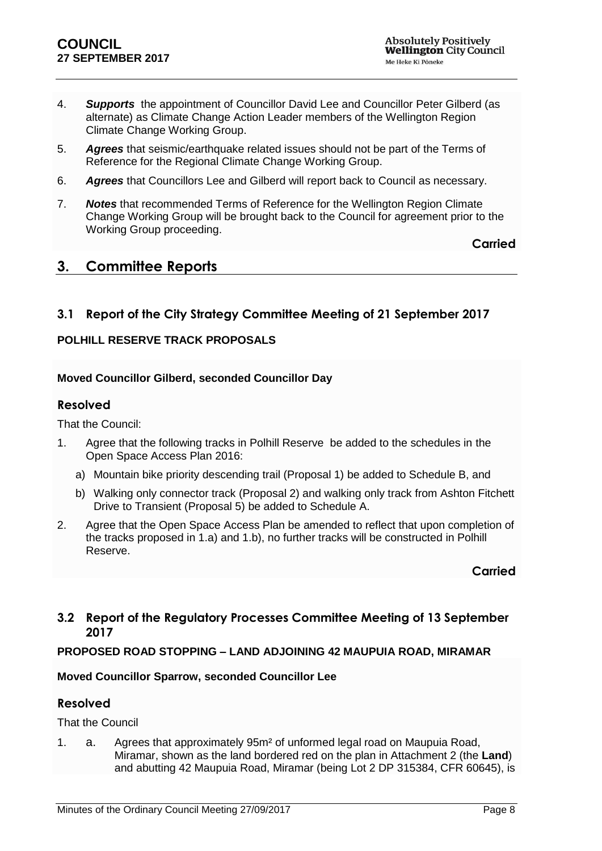- 4. *Supports* the appointment of Councillor David Lee and Councillor Peter Gilberd (as alternate) as Climate Change Action Leader members of the Wellington Region Climate Change Working Group.
- 5. *Agrees* that seismic/earthquake related issues should not be part of the Terms of Reference for the Regional Climate Change Working Group.
- 6. *Agrees* that Councillors Lee and Gilberd will report back to Council as necessary.
- 7. *Notes* that recommended Terms of Reference for the Wellington Region Climate Change Working Group will be brought back to the Council for agreement prior to the Working Group proceeding.

**Carried**

## <span id="page-7-0"></span>**3. Committee Reports**

## <span id="page-7-1"></span>**3.1 Report of the City Strategy Committee Meeting of 21 September 2017**

## **POLHILL RESERVE TRACK PROPOSALS**

## **Moved Councillor Gilberd, seconded Councillor Day**

#### **Resolved**

That the Council:

- 1. Agree that the following tracks in Polhill Reserve be added to the schedules in the Open Space Access Plan 2016:
	- a) Mountain bike priority descending trail (Proposal 1) be added to Schedule B, and
	- b) Walking only connector track (Proposal 2) and walking only track from Ashton Fitchett Drive to Transient (Proposal 5) be added to Schedule A.
- 2. Agree that the Open Space Access Plan be amended to reflect that upon completion of the tracks proposed in 1.a) and 1.b), no further tracks will be constructed in Polhill Reserve.

**Carried**

## <span id="page-7-2"></span>**3.2 Report of the Regulatory Processes Committee Meeting of 13 September 2017**

#### **PROPOSED ROAD STOPPING – LAND ADJOINING 42 MAUPUIA ROAD, MIRAMAR**

#### **Moved Councillor Sparrow, seconded Councillor Lee**

## **Resolved**

That the Council

1. a. Agrees that approximately 95m² of unformed legal road on Maupuia Road, Miramar, shown as the land bordered red on the plan in Attachment 2 (the **Land**) and abutting 42 Maupuia Road, Miramar (being Lot 2 DP 315384, CFR 60645), is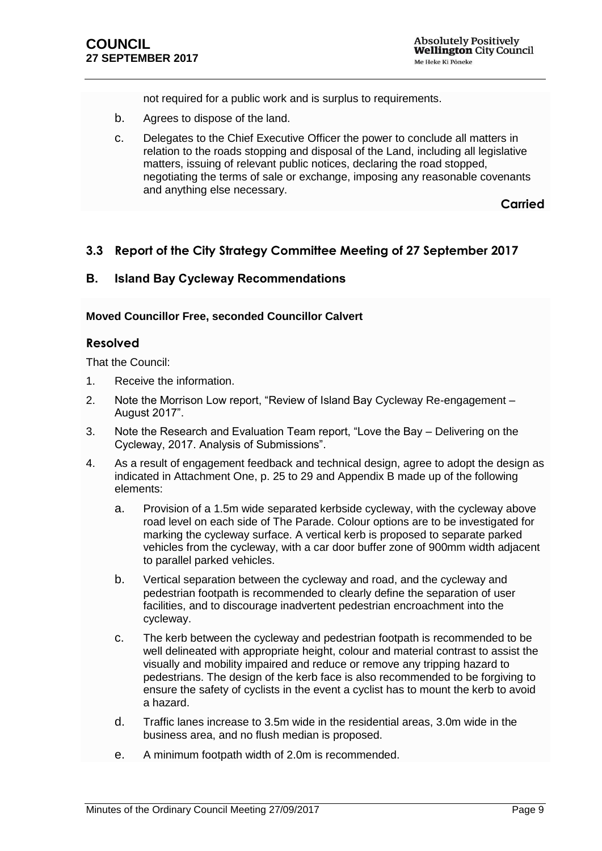not required for a public work and is surplus to requirements.

- b. Agrees to dispose of the land.
- c. Delegates to the Chief Executive Officer the power to conclude all matters in relation to the roads stopping and disposal of the Land, including all legislative matters, issuing of relevant public notices, declaring the road stopped, negotiating the terms of sale or exchange, imposing any reasonable covenants and anything else necessary.

**Carried**

## <span id="page-8-0"></span>**3.3 Report of the City Strategy Committee Meeting of 27 September 2017**

#### **B. Island Bay Cycleway Recommendations**

#### **Moved Councillor Free, seconded Councillor Calvert**

#### **Resolved**

That the Council:

- 1. Receive the information.
- 2. Note the Morrison Low report, "Review of Island Bay Cycleway Re-engagement August 2017".
- 3. Note the Research and Evaluation Team report, "Love the Bay Delivering on the Cycleway, 2017. Analysis of Submissions".
- 4. As a result of engagement feedback and technical design, agree to adopt the design as indicated in Attachment One, p. 25 to 29 and Appendix B made up of the following elements:
	- a. Provision of a 1.5m wide separated kerbside cycleway, with the cycleway above road level on each side of The Parade. Colour options are to be investigated for marking the cycleway surface. A vertical kerb is proposed to separate parked vehicles from the cycleway, with a car door buffer zone of 900mm width adjacent to parallel parked vehicles.
	- b. Vertical separation between the cycleway and road, and the cycleway and pedestrian footpath is recommended to clearly define the separation of user facilities, and to discourage inadvertent pedestrian encroachment into the cycleway.
	- c. The kerb between the cycleway and pedestrian footpath is recommended to be well delineated with appropriate height, colour and material contrast to assist the visually and mobility impaired and reduce or remove any tripping hazard to pedestrians. The design of the kerb face is also recommended to be forgiving to ensure the safety of cyclists in the event a cyclist has to mount the kerb to avoid a hazard.
	- d. Traffic lanes increase to 3.5m wide in the residential areas, 3.0m wide in the business area, and no flush median is proposed.
	- e. A minimum footpath width of 2.0m is recommended.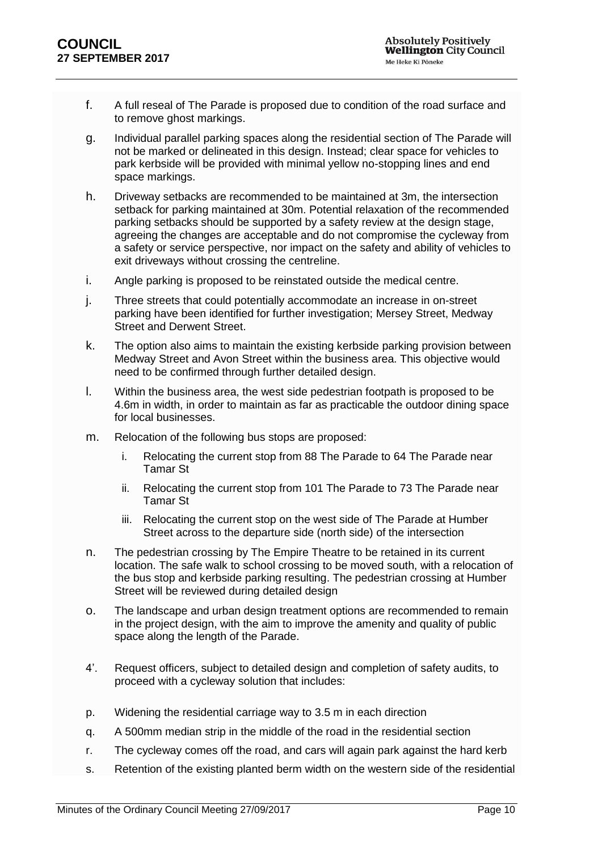- f. A full reseal of The Parade is proposed due to condition of the road surface and to remove ghost markings.
- g. Individual parallel parking spaces along the residential section of The Parade will not be marked or delineated in this design. Instead; clear space for vehicles to park kerbside will be provided with minimal yellow no-stopping lines and end space markings.
- h. Driveway setbacks are recommended to be maintained at 3m, the intersection setback for parking maintained at 30m. Potential relaxation of the recommended parking setbacks should be supported by a safety review at the design stage, agreeing the changes are acceptable and do not compromise the cycleway from a safety or service perspective, nor impact on the safety and ability of vehicles to exit driveways without crossing the centreline.
- i. Angle parking is proposed to be reinstated outside the medical centre.
- j. Three streets that could potentially accommodate an increase in on-street parking have been identified for further investigation; Mersey Street, Medway Street and Derwent Street.
- k. The option also aims to maintain the existing kerbside parking provision between Medway Street and Avon Street within the business area. This objective would need to be confirmed through further detailed design.
- l. Within the business area, the west side pedestrian footpath is proposed to be 4.6m in width, in order to maintain as far as practicable the outdoor dining space for local businesses.
- m. Relocation of the following bus stops are proposed:
	- i. Relocating the current stop from 88 The Parade to 64 The Parade near Tamar St
	- ii. Relocating the current stop from 101 The Parade to 73 The Parade near Tamar St
	- iii. Relocating the current stop on the west side of The Parade at Humber Street across to the departure side (north side) of the intersection
- n. The pedestrian crossing by The Empire Theatre to be retained in its current location. The safe walk to school crossing to be moved south, with a relocation of the bus stop and kerbside parking resulting. The pedestrian crossing at Humber Street will be reviewed during detailed design
- o. The landscape and urban design treatment options are recommended to remain in the project design, with the aim to improve the amenity and quality of public space along the length of the Parade.
- 4'. Request officers, subject to detailed design and completion of safety audits, to proceed with a cycleway solution that includes:
- p. Widening the residential carriage way to 3.5 m in each direction
- q. A 500mm median strip in the middle of the road in the residential section
- r. The cycleway comes off the road, and cars will again park against the hard kerb
- s. Retention of the existing planted berm width on the western side of the residential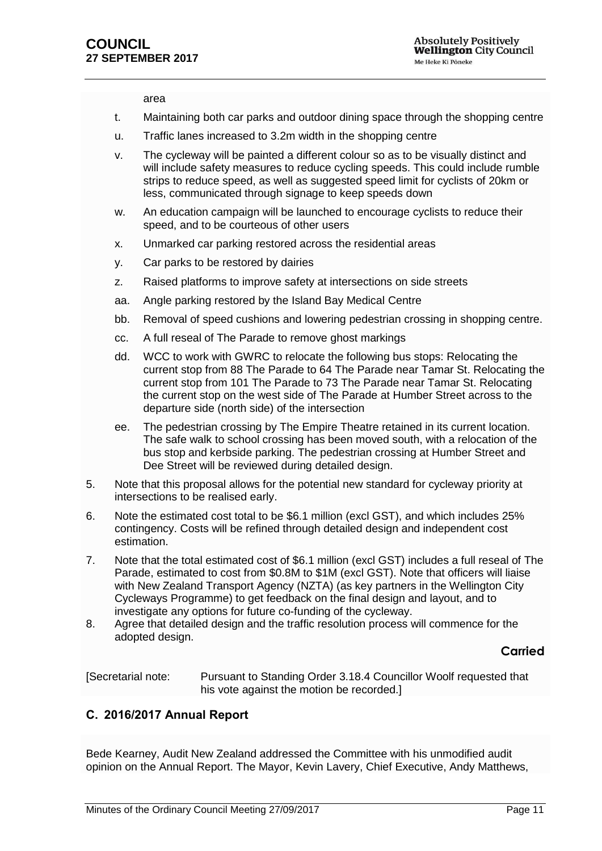area

- t. Maintaining both car parks and outdoor dining space through the shopping centre
- u. Traffic lanes increased to 3.2m width in the shopping centre
- v. The cycleway will be painted a different colour so as to be visually distinct and will include safety measures to reduce cycling speeds. This could include rumble strips to reduce speed, as well as suggested speed limit for cyclists of 20km or less, communicated through signage to keep speeds down
- w. An education campaign will be launched to encourage cyclists to reduce their speed, and to be courteous of other users
- x. Unmarked car parking restored across the residential areas
- y. Car parks to be restored by dairies
- z. Raised platforms to improve safety at intersections on side streets
- aa. Angle parking restored by the Island Bay Medical Centre
- bb. Removal of speed cushions and lowering pedestrian crossing in shopping centre.
- cc. A full reseal of The Parade to remove ghost markings
- dd. WCC to work with GWRC to relocate the following bus stops: Relocating the current stop from 88 The Parade to 64 The Parade near Tamar St. Relocating the current stop from 101 The Parade to 73 The Parade near Tamar St. Relocating the current stop on the west side of The Parade at Humber Street across to the departure side (north side) of the intersection
- ee. The pedestrian crossing by The Empire Theatre retained in its current location. The safe walk to school crossing has been moved south, with a relocation of the bus stop and kerbside parking. The pedestrian crossing at Humber Street and Dee Street will be reviewed during detailed design.
- 5. Note that this proposal allows for the potential new standard for cycleway priority at intersections to be realised early.
- 6. Note the estimated cost total to be \$6.1 million (excl GST), and which includes 25% contingency. Costs will be refined through detailed design and independent cost estimation.
- 7. Note that the total estimated cost of \$6.1 million (excl GST) includes a full reseal of The Parade, estimated to cost from \$0.8M to \$1M (excl GST). Note that officers will liaise with New Zealand Transport Agency (NZTA) (as key partners in the Wellington City Cycleways Programme) to get feedback on the final design and layout, and to investigate any options for future co-funding of the cycleway.
- 8. Agree that detailed design and the traffic resolution process will commence for the adopted design.

#### **Carried**

[Secretarial note: Pursuant to Standing Order 3.18.4 Councillor Woolf requested that his vote against the motion be recorded.]

#### **C. 2016/2017 Annual Report**

Bede Kearney, Audit New Zealand addressed the Committee with his unmodified audit opinion on the Annual Report. The Mayor, Kevin Lavery, Chief Executive, Andy Matthews,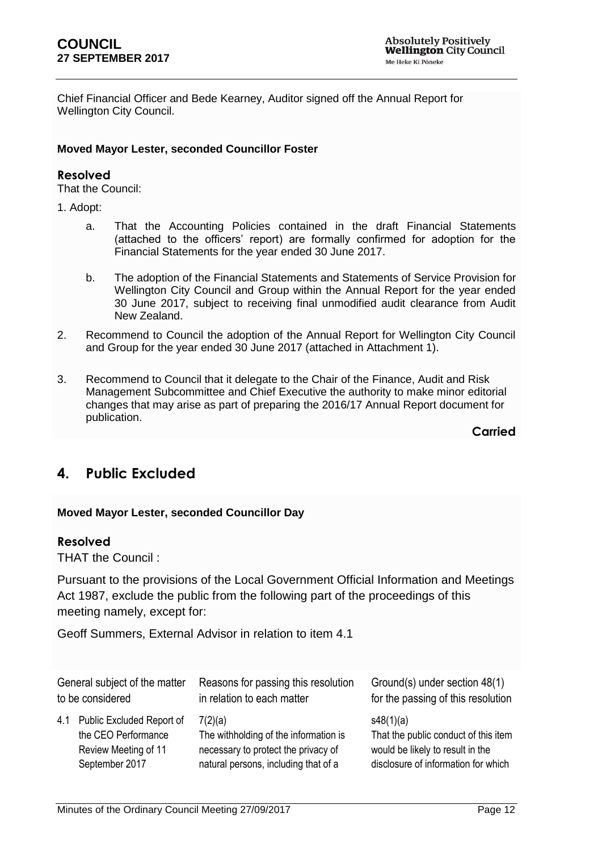Chief Financial Officer and Bede Kearney, Auditor signed off the Annual Report for Wellington City Council.

#### **Moved Mayor Lester, seconded Councillor Foster**

#### **Resolved**

That the Council:

1. Adopt:

- a. That the Accounting Policies contained in the draft Financial Statements (attached to the officers' report) are formally confirmed for adoption for the Financial Statements for the year ended 30 June 2017.
- b. The adoption of the Financial Statements and Statements of Service Provision for Wellington City Council and Group within the Annual Report for the year ended 30 June 2017, subject to receiving final unmodified audit clearance from Audit New Zealand.
- 2. Recommend to Council the adoption of the Annual Report for Wellington City Council and Group for the year ended 30 June 2017 (attached in Attachment 1).
- 3. Recommend to Council that it delegate to the Chair of the Finance, Audit and Risk Management Subcommittee and Chief Executive the authority to make minor editorial changes that may arise as part of preparing the 2016/17 Annual Report document for publication.

**Carried**

## <span id="page-11-0"></span>**4. Public Excluded**

## **Moved Mayor Lester, seconded Councillor Day**

## **Resolved**

THAT the Council :

Pursuant to the provisions of the Local Government Official Information and Meetings Act 1987, exclude the public from the following part of the proceedings of this meeting namely, except for:

Geoff Summers, External Advisor in relation to item 4.1

<span id="page-11-1"></span>

| General subject of the matter |                               | Reasons for passing this resolution   | Ground(s) under section 48(1)        |
|-------------------------------|-------------------------------|---------------------------------------|--------------------------------------|
| to be considered              |                               | in relation to each matter            | for the passing of this resolution   |
|                               | 4.1 Public Excluded Report of | 7(2)(a)                               | s48(1)(a)                            |
|                               | the CEO Performance           | The withholding of the information is | That the public conduct of this item |
|                               | Review Meeting of 11          | necessary to protect the privacy of   | would be likely to result in the     |
|                               | September 2017                | natural persons, including that of a  | disclosure of information for which  |